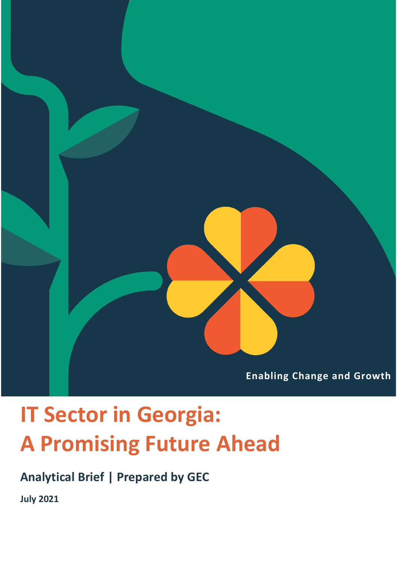

# **IT Sector in Georgia: A Promising Future Ahead**

**Analytical Brief | Prepared by GEC**

**July 2021**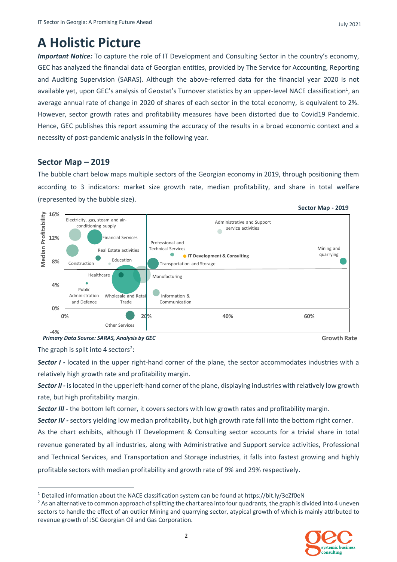### **A Holistic Picture**

*Important Notice:* To capture the role of IT Development and Consulting Sector in the country's economy, GEC has analyzed the financial data of Georgian entities, provided by The Service for Accounting, Reporting and Auditing Supervision (SARAS). Although the above-referred data for the financial year 2020 is not available yet, upon GEC's analysis of Geostat's Turnover statistics by an upper-level NACE classification<sup>1</sup>, an average annual rate of change in 2020 of shares of each sector in the total economy, is equivalent to 2%. However, sector growth rates and profitability measures have been distorted due to Covid19 Pandemic. Hence, GEC publishes this report assuming the accuracy of the results in a broad economic context and a necessity of post-pandemic analysis in the following year.

#### **Sector Map – 2019**

The bubble chart below maps multiple sectors of the Georgian economy in 2019, through positioning them according to 3 indicators: market size growth rate, median profitability, and share in total welfare (represented by the bubble size).



*Primary Data Source: SARAS, Analysis by GEC* **Growth Rate**

The graph is split into 4 sectors<sup>2</sup>:

*Sector I -* located in the upper right-hand corner of the plane, the sector accommodates industries with a relatively high growth rate and profitability margin.

*Sector II -* is located in the upper left-hand corner of the plane, displaying industries with relatively low growth rate, but high profitability margin.

*Sector III -* the bottom left corner, it covers sectors with low growth rates and profitability margin.

*Sector IV -* sectors yielding low median profitability, but high growth rate fall into the bottom right corner.

As the chart exhibits, although IT Development & Consulting sector accounts for a trivial share in total revenue generated by all industries, along with Administrative and Support service activities, Professional and Technical Services, and Transportation and Storage industries, it falls into fastest growing and highly profitable sectors with median profitability and growth rate of 9% and 29% respectively.

<sup>&</sup>lt;sup>2</sup> As an alternative to common approach of splitting the chart area into four quadrants, the graph is divided into 4 uneven sectors to handle the effect of an outlier Mining and quarrying sector, atypical growth of which is mainly attributed to revenue growth of JSC Georgian Oil and Gas Corporation.



<sup>1</sup> Detailed information about the NACE classification system can be found at https://bit.ly/3eZf0eN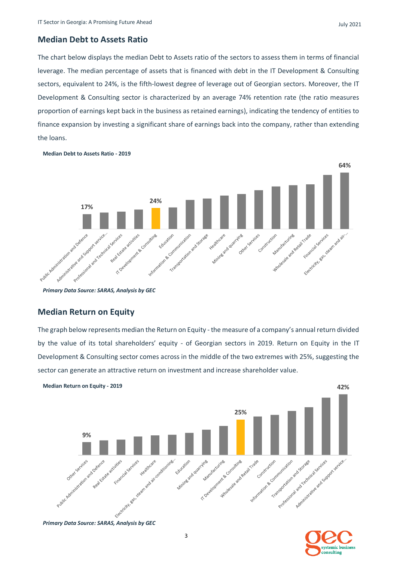#### **Median Debt to Assets Ratio**

The chart below displays the median Debt to Assets ratio of the sectors to assess them in terms of financial leverage. The median percentage of assets that is financed with debt in the IT Development & Consulting sectors, equivalent to 24%, is the fifth-lowest degree of leverage out of Georgian sectors. Moreover, the IT Development & Consulting sector is characterized by an average 74% retention rate (the ratio measures proportion of earnings kept back in the business as retained earnings), indicating the tendency of entities to finance expansion by investing a significant share of earnings back into the company, rather than extending the loans.



#### **Median Debt to Assets Ratio - 2019**

#### **Median Return on Equity**

The graph below represents median the Return on Equity - the measure of a company's annual return divided by the value of its total shareholders' equity - of Georgian sectors in 2019. Return on Equity in the IT Development & Consulting sector comes across in the middle of the two extremes with 25%, suggesting the sector can generate an attractive return on investment and increase shareholder value.

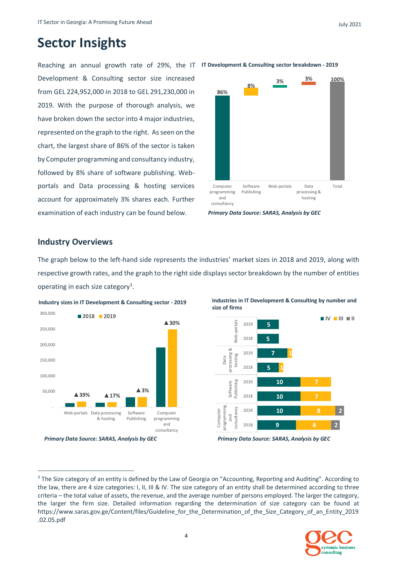### **Sector Insights**

Reaching an annual growth rate of 29%, the IT **IT Development & Consulting sector breakdown - 2019** Development & Consulting sector size increased from GEL 224,952,000 in 2018 to GEL 291,230,000 in 2019. With the purpose of thorough analysis, we have broken down the sector into 4 major industries, represented on the graph to the right. As seen on the chart, the largest share of 86% of the sector is taken by Computer programming and consultancy industry, followed by 8% share of software publishing. Webportals and Data processing & hosting services account for approximately 3% shares each. Further examination of each industry can be found below.



#### **Industry Overviews**

The graph below to the left-hand side represents the industries' market sizes in 2018 and 2019, along with respective growth rates, and the graph to the right side displays sector breakdown by the number of entities operating in each size category<sup>3</sup>.



*Primary Data Source: SARAS, Analysis by GEC Primary Data Source: SARAS, Analysis by GEC*





<sup>&</sup>lt;sup>3</sup> The Size category of an entity is defined by the Law of Georgia on "Accounting, Reporting and Auditing". According to the law, there are 4 size categories: I, II, III & IV. The size category of an entity shall be determined according to three criteria – the total value of assets, the revenue, and the average number of persons employed. The larger the category, the larger the firm size. Detailed information regarding the determination of size category can be found at https://www.saras.gov.ge/Content/files/Guideline\_for\_the\_Determination\_of\_the\_Size\_Category\_of\_an\_Entity\_2019 .02.05.pdf

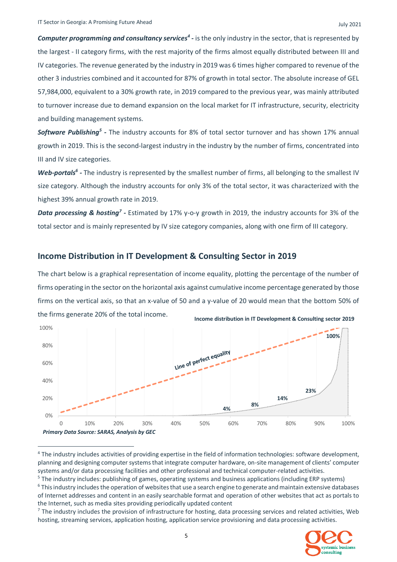*Computer programming and consultancy services<sup>4</sup> -* is the only industry in the sector, that is represented by the largest - II category firms, with the rest majority of the firms almost equally distributed between III and IV categories. The revenue generated by the industry in 2019 was 6 times higher compared to revenue of the other 3 industries combined and it accounted for 87% of growth in total sector. The absolute increase of GEL 57,984,000, equivalent to a 30% growth rate, in 2019 compared to the previous year, was mainly attributed to turnover increase due to demand expansion on the local market for IT infrastructure, security, electricity and building management systems.

Software Publishing<sup>5</sup> - The industry accounts for 8% of total sector turnover and has shown 17% annual growth in 2019. This is the second-largest industry in the industry by the number of firms, concentrated into III and IV size categories.

Web-portals<sup>6</sup> - The industry is represented by the smallest number of firms, all belonging to the smallest IV size category. Although the industry accounts for only 3% of the total sector, it was characterized with the highest 39% annual growth rate in 2019.

Data processing & hosting<sup>7</sup> - Estimated by 17% y-o-y growth in 2019, the industry accounts for 3% of the total sector and is mainly represented by IV size category companies, along with one firm of III category.

#### **Income Distribution in IT Development & Consulting Sector in 2019**

The chart below is a graphical representation of income equality, plotting the percentage of the number of firms operating in the sector on the horizontal axis against cumulative income percentage generated by those firms on the vertical axis, so that an x-value of 50 and a y-value of 20 would mean that the bottom 50% of the firms generate 20% of the total income.



<sup>4</sup> The industry includes activities of providing expertise in the field of information technologies: software development, planning and designing computer systems that integrate computer hardware, on-site management of clients' computer systems and/or data processing facilities and other professional and technical computer-related activities.

 $<sup>7</sup>$  The industry includes the provision of infrastructure for hosting, data processing services and related activities, Web</sup> hosting, streaming services, application hosting, application service provisioning and data processing activities.



<sup>5</sup> The industry includes: publishing of games, operating systems and business applications (including ERP systems)

<sup>&</sup>lt;sup>6</sup> This industry includes the operation of websites that use a search engine to generate and maintain extensive databases of Internet addresses and content in an easily searchable format and operation of other websites that act as portals to the Internet, such as media sites providing periodically updated content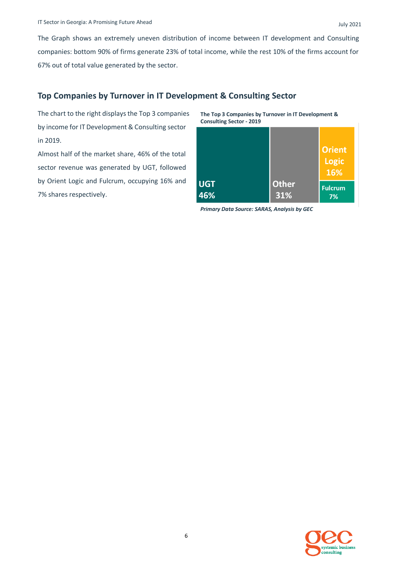The Graph shows an extremely uneven distribution of income between IT development and Consulting companies: bottom 90% of firms generate 23% of total income, while the rest 10% of the firms account for 67% out of total value generated by the sector.

#### **Top Companies by Turnover in IT Development & Consulting Sector**

The chart to the right displays the Top 3 companies by income for IT Development & Consulting sector in 2019.

Almost half of the market share, 46% of the total sector revenue was generated by UGT, followed by Orient Logic and Fulcrum, occupying 16% and 7% shares respectively.

**The Top 3 Companies by Turnover in IT Development & Consulting Sector - 2019**

|            |              | <b>Orient</b><br><b>Logic</b><br>16% |
|------------|--------------|--------------------------------------|
| <b>UGT</b> | <b>Other</b> | <b>Fulcrum</b>                       |
| 46%        | 31%          | 7%                                   |

*Primary Data Source: SARAS, Analysis by GEC*

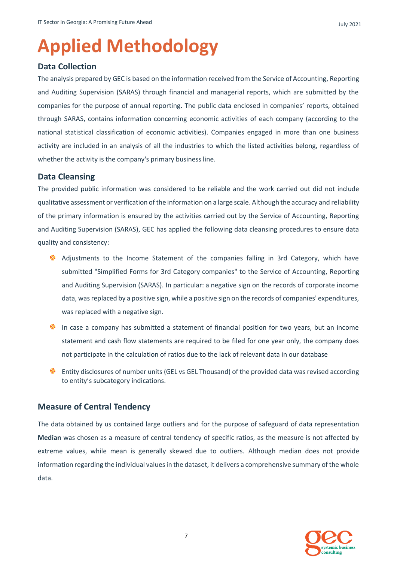## **Applied Methodology**

#### **Data Collection**

The analysis prepared by GEC is based on the information received from the Service of Accounting, Reporting and Auditing Supervision (SARAS) through financial and managerial reports, which are submitted by the companies for the purpose of annual reporting. The public data enclosed in companies' reports, obtained through SARAS, contains information concerning economic activities of each company (according to the national statistical classification of economic activities). Companies engaged in more than one business activity are included in an analysis of all the industries to which the listed activities belong, regardless of whether the activity is the company's primary business line.

#### **Data Cleansing**

The provided public information was considered to be reliable and the work carried out did not include qualitative assessment or verification of the information on a large scale. Although the accuracy and reliability of the primary information is ensured by the activities carried out by the Service of Accounting, Reporting and Auditing Supervision (SARAS), GEC has applied the following data cleansing procedures to ensure data quality and consistency:

- Adjustments to the Income Statement of the companies falling in 3rd Category, which have submitted "Simplified Forms for 3rd Category companies" to the Service of Accounting, Reporting and Auditing Supervision (SARAS). In particular: a negative sign on the records of corporate income data, was replaced by a positive sign, while a positive sign on the records of companies' expenditures, was replaced with a negative sign.
- In case a company has submitted a statement of financial position for two years, but an income statement and cash flow statements are required to be filed for one year only, the company does not participate in the calculation of ratios due to the lack of relevant data in our database
- **Entity disclosures of number units (GEL vs GEL Thousand) of the provided data was revised according** to entity's subcategory indications.

#### **Measure of Central Tendency**

The data obtained by us contained large outliers and for the purpose of safeguard of data representation **Median** was chosen as a measure of central tendency of specific ratios, as the measure is not affected by extreme values, while mean is generally skewed due to outliers. Although median does not provide information regarding the individual values in the dataset, it delivers a comprehensive summary of the whole data.